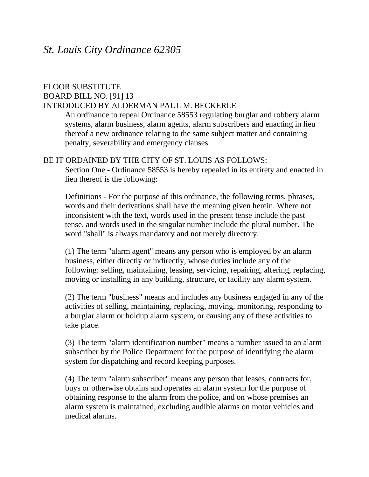# FLOOR SUBSTITUTE

## BOARD BILL NO. [91] 13

### INTRODUCED BY ALDERMAN PAUL M. BECKERLE

An ordinance to repeal Ordinance 58553 regulating burglar and robbery alarm systems, alarm business, alarm agents, alarm subscribers and enacting in lieu thereof a new ordinance relating to the same subject matter and containing penalty, severability and emergency clauses.

## BE IT ORDAINED BY THE CITY OF ST. LOUIS AS FOLLOWS:

Section One - Ordinance 58553 is hereby repealed in its entirety and enacted in lieu thereof is the following:

Definitions - For the purpose of this ordinance, the following terms, phrases, words and their derivations shall have the meaning given herein. Where not inconsistent with the text, words used in the present tense include the past tense, and words used in the singular number include the plural number. The word "shall" is always mandatory and not merely directory.

(1) The term "alarm agent" means any person who is employed by an alarm business, either directly or indirectly, whose duties include any of the following: selling, maintaining, leasing, servicing, repairing, altering, replacing, moving or installing in any building, structure, or facility any alarm system.

(2) The term "business" means and includes any business engaged in any of the activities of selling, maintaining, replacing, moving, monitoring, responding to a burglar alarm or holdup alarm system, or causing any of these activities to take place.

(3) The term "alarm identification number" means a number issued to an alarm subscriber by the Police Department for the purpose of identifying the alarm system for dispatching and record keeping purposes.

(4) The term "alarm subscriber" means any person that leases, contracts for, buys or otherwise obtains and operates an alarm system for the purpose of obtaining response to the alarm from the police, and on whose premises an alarm system is maintained, excluding audible alarms on motor vehicles and medical alarms.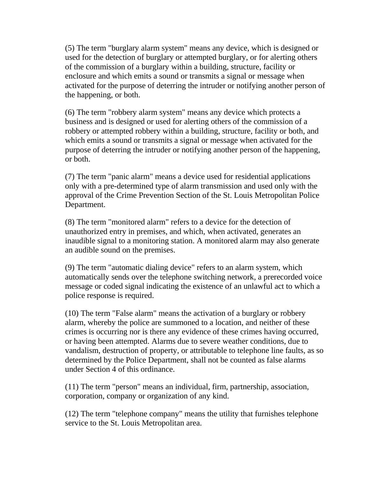(5) The term "burglary alarm system" means any device, which is designed or used for the detection of burglary or attempted burglary, or for alerting others of the commission of a burglary within a building, structure, facility or enclosure and which emits a sound or transmits a signal or message when activated for the purpose of deterring the intruder or notifying another person of the happening, or both.

(6) The term "robbery alarm system" means any device which protects a business and is designed or used for alerting others of the commission of a robbery or attempted robbery within a building, structure, facility or both, and which emits a sound or transmits a signal or message when activated for the purpose of deterring the intruder or notifying another person of the happening, or both.

(7) The term "panic alarm" means a device used for residential applications only with a pre-determined type of alarm transmission and used only with the approval of the Crime Prevention Section of the St. Louis Metropolitan Police Department.

(8) The term "monitored alarm" refers to a device for the detection of unauthorized entry in premises, and which, when activated, generates an inaudible signal to a monitoring station. A monitored alarm may also generate an audible sound on the premises.

(9) The term "automatic dialing device" refers to an alarm system, which automatically sends over the telephone switching network, a prerecorded voice message or coded signal indicating the existence of an unlawful act to which a police response is required.

(10) The term "False alarm" means the activation of a burglary or robbery alarm, whereby the police are summoned to a location, and neither of these crimes is occurring nor is there any evidence of these crimes having occurred, or having been attempted. Alarms due to severe weather conditions, due to vandalism, destruction of property, or attributable to telephone line faults, as so determined by the Police Department, shall not be counted as false alarms under Section 4 of this ordinance.

(11) The term "person" means an individual, firm, partnership, association, corporation, company or organization of any kind.

(12) The term "telephone company" means the utility that furnishes telephone service to the St. Louis Metropolitan area.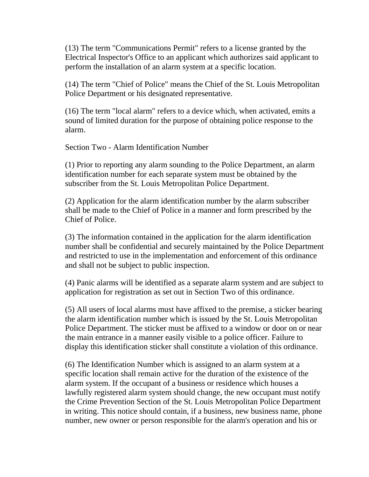(13) The term "Communications Permit" refers to a license granted by the Electrical Inspector's Office to an applicant which authorizes said applicant to perform the installation of an alarm system at a specific location.

(14) The term "Chief of Police" means the Chief of the St. Louis Metropolitan Police Department or his designated representative.

(16) The term "local alarm" refers to a device which, when activated, emits a sound of limited duration for the purpose of obtaining police response to the alarm.

Section Two - Alarm Identification Number

(1) Prior to reporting any alarm sounding to the Police Department, an alarm identification number for each separate system must be obtained by the subscriber from the St. Louis Metropolitan Police Department.

(2) Application for the alarm identification number by the alarm subscriber shall be made to the Chief of Police in a manner and form prescribed by the Chief of Police.

(3) The information contained in the application for the alarm identification number shall be confidential and securely maintained by the Police Department and restricted to use in the implementation and enforcement of this ordinance and shall not be subject to public inspection.

(4) Panic alarms will be identified as a separate alarm system and are subject to application for registration as set out in Section Two of this ordinance.

(5) All users of local alarms must have affixed to the premise, a sticker bearing the alarm identification number which is issued by the St. Louis Metropolitan Police Department. The sticker must be affixed to a window or door on or near the main entrance in a manner easily visible to a police officer. Failure to display this identification sticker shall constitute a violation of this ordinance.

(6) The Identification Number which is assigned to an alarm system at a specific location shall remain active for the duration of the existence of the alarm system. If the occupant of a business or residence which houses a lawfully registered alarm system should change, the new occupant must notify the Crime Prevention Section of the St. Louis Metropolitan Police Department in writing. This notice should contain, if a business, new business name, phone number, new owner or person responsible for the alarm's operation and his or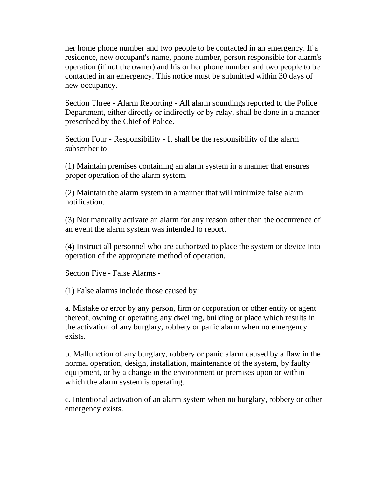her home phone number and two people to be contacted in an emergency. If a residence, new occupant's name, phone number, person responsible for alarm's operation (if not the owner) and his or her phone number and two people to be contacted in an emergency. This notice must be submitted within 30 days of new occupancy.

Section Three - Alarm Reporting - All alarm soundings reported to the Police Department, either directly or indirectly or by relay, shall be done in a manner prescribed by the Chief of Police.

Section Four - Responsibility - It shall be the responsibility of the alarm subscriber to:

(1) Maintain premises containing an alarm system in a manner that ensures proper operation of the alarm system.

(2) Maintain the alarm system in a manner that will minimize false alarm notification.

(3) Not manually activate an alarm for any reason other than the occurrence of an event the alarm system was intended to report.

(4) Instruct all personnel who are authorized to place the system or device into operation of the appropriate method of operation.

Section Five - False Alarms -

(1) False alarms include those caused by:

a. Mistake or error by any person, firm or corporation or other entity or agent thereof, owning or operating any dwelling, building or place which results in the activation of any burglary, robbery or panic alarm when no emergency exists.

b. Malfunction of any burglary, robbery or panic alarm caused by a flaw in the normal operation, design, installation, maintenance of the system, by faulty equipment, or by a change in the environment or premises upon or within which the alarm system is operating.

c. Intentional activation of an alarm system when no burglary, robbery or other emergency exists.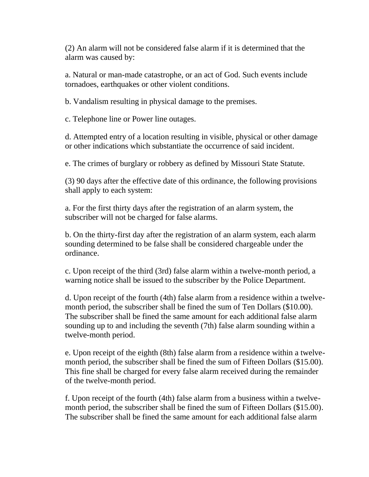(2) An alarm will not be considered false alarm if it is determined that the alarm was caused by:

a. Natural or man-made catastrophe, or an act of God. Such events include tornadoes, earthquakes or other violent conditions.

b. Vandalism resulting in physical damage to the premises.

c. Telephone line or Power line outages.

d. Attempted entry of a location resulting in visible, physical or other damage or other indications which substantiate the occurrence of said incident.

e. The crimes of burglary or robbery as defined by Missouri State Statute.

(3) 90 days after the effective date of this ordinance, the following provisions shall apply to each system:

a. For the first thirty days after the registration of an alarm system, the subscriber will not be charged for false alarms.

b. On the thirty-first day after the registration of an alarm system, each alarm sounding determined to be false shall be considered chargeable under the ordinance.

c. Upon receipt of the third (3rd) false alarm within a twelve-month period, a warning notice shall be issued to the subscriber by the Police Department.

d. Upon receipt of the fourth (4th) false alarm from a residence within a twelvemonth period, the subscriber shall be fined the sum of Ten Dollars (\$10.00). The subscriber shall be fined the same amount for each additional false alarm sounding up to and including the seventh (7th) false alarm sounding within a twelve-month period.

e. Upon receipt of the eighth (8th) false alarm from a residence within a twelvemonth period, the subscriber shall be fined the sum of Fifteen Dollars (\$15.00). This fine shall be charged for every false alarm received during the remainder of the twelve-month period.

f. Upon receipt of the fourth (4th) false alarm from a business within a twelvemonth period, the subscriber shall be fined the sum of Fifteen Dollars (\$15.00). The subscriber shall be fined the same amount for each additional false alarm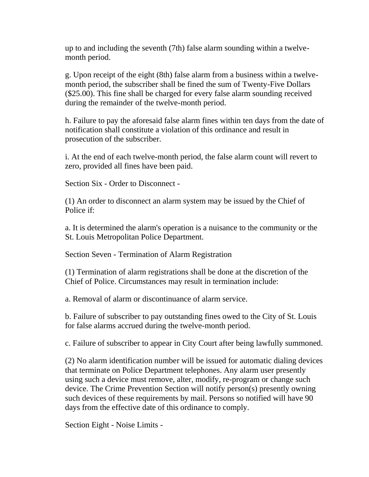up to and including the seventh (7th) false alarm sounding within a twelvemonth period.

g. Upon receipt of the eight (8th) false alarm from a business within a twelvemonth period, the subscriber shall be fined the sum of Twenty-Five Dollars (\$25.00). This fine shall be charged for every false alarm sounding received during the remainder of the twelve-month period.

h. Failure to pay the aforesaid false alarm fines within ten days from the date of notification shall constitute a violation of this ordinance and result in prosecution of the subscriber.

i. At the end of each twelve-month period, the false alarm count will revert to zero, provided all fines have been paid.

Section Six - Order to Disconnect -

(1) An order to disconnect an alarm system may be issued by the Chief of Police if:

a. It is determined the alarm's operation is a nuisance to the community or the St. Louis Metropolitan Police Department.

Section Seven - Termination of Alarm Registration

(1) Termination of alarm registrations shall be done at the discretion of the Chief of Police. Circumstances may result in termination include:

a. Removal of alarm or discontinuance of alarm service.

b. Failure of subscriber to pay outstanding fines owed to the City of St. Louis for false alarms accrued during the twelve-month period.

c. Failure of subscriber to appear in City Court after being lawfully summoned.

(2) No alarm identification number will be issued for automatic dialing devices that terminate on Police Department telephones. Any alarm user presently using such a device must remove, alter, modify, re-program or change such device. The Crime Prevention Section will notify person(s) presently owning such devices of these requirements by mail. Persons so notified will have 90 days from the effective date of this ordinance to comply.

Section Eight - Noise Limits -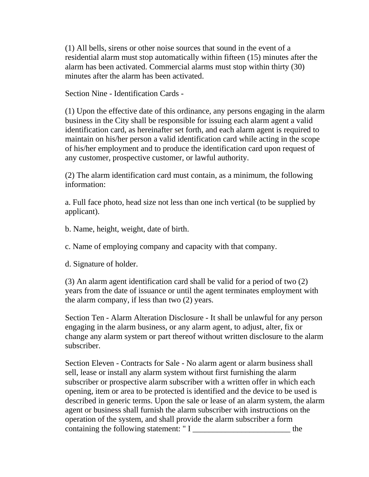(1) All bells, sirens or other noise sources that sound in the event of a residential alarm must stop automatically within fifteen (15) minutes after the alarm has been activated. Commercial alarms must stop within thirty (30) minutes after the alarm has been activated.

Section Nine - Identification Cards -

(1) Upon the effective date of this ordinance, any persons engaging in the alarm business in the City shall be responsible for issuing each alarm agent a valid identification card, as hereinafter set forth, and each alarm agent is required to maintain on his/her person a valid identification card while acting in the scope of his/her employment and to produce the identification card upon request of any customer, prospective customer, or lawful authority.

(2) The alarm identification card must contain, as a minimum, the following information:

a. Full face photo, head size not less than one inch vertical (to be supplied by applicant).

b. Name, height, weight, date of birth.

c. Name of employing company and capacity with that company.

d. Signature of holder.

(3) An alarm agent identification card shall be valid for a period of two (2) years from the date of issuance or until the agent terminates employment with the alarm company, if less than two (2) years.

Section Ten - Alarm Alteration Disclosure - It shall be unlawful for any person engaging in the alarm business, or any alarm agent, to adjust, alter, fix or change any alarm system or part thereof without written disclosure to the alarm subscriber.

Section Eleven - Contracts for Sale - No alarm agent or alarm business shall sell, lease or install any alarm system without first furnishing the alarm subscriber or prospective alarm subscriber with a written offer in which each opening, item or area to be protected is identified and the device to be used is described in generic terms. Upon the sale or lease of an alarm system, the alarm agent or business shall furnish the alarm subscriber with instructions on the operation of the system, and shall provide the alarm subscriber a form containing the following statement: " I  $\qquad$  the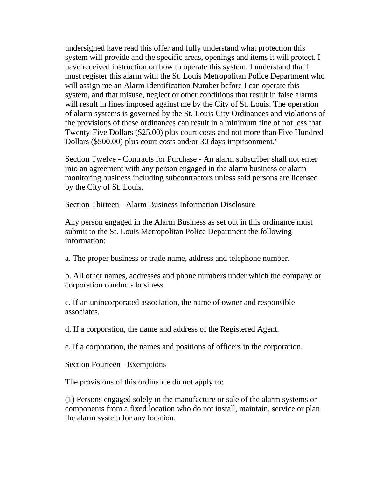undersigned have read this offer and fully understand what protection this system will provide and the specific areas, openings and items it will protect. I have received instruction on how to operate this system. I understand that I must register this alarm with the St. Louis Metropolitan Police Department who will assign me an Alarm Identification Number before I can operate this system, and that misuse, neglect or other conditions that result in false alarms will result in fines imposed against me by the City of St. Louis. The operation of alarm systems is governed by the St. Louis City Ordinances and violations of the provisions of these ordinances can result in a minimum fine of not less that Twenty-Five Dollars (\$25.00) plus court costs and not more than Five Hundred Dollars (\$500.00) plus court costs and/or 30 days imprisonment."

Section Twelve - Contracts for Purchase - An alarm subscriber shall not enter into an agreement with any person engaged in the alarm business or alarm monitoring business including subcontractors unless said persons are licensed by the City of St. Louis.

Section Thirteen - Alarm Business Information Disclosure

Any person engaged in the Alarm Business as set out in this ordinance must submit to the St. Louis Metropolitan Police Department the following information:

a. The proper business or trade name, address and telephone number.

b. All other names, addresses and phone numbers under which the company or corporation conducts business.

c. If an unincorporated association, the name of owner and responsible associates.

d. If a corporation, the name and address of the Registered Agent.

e. If a corporation, the names and positions of officers in the corporation.

Section Fourteen - Exemptions

The provisions of this ordinance do not apply to:

(1) Persons engaged solely in the manufacture or sale of the alarm systems or components from a fixed location who do not install, maintain, service or plan the alarm system for any location.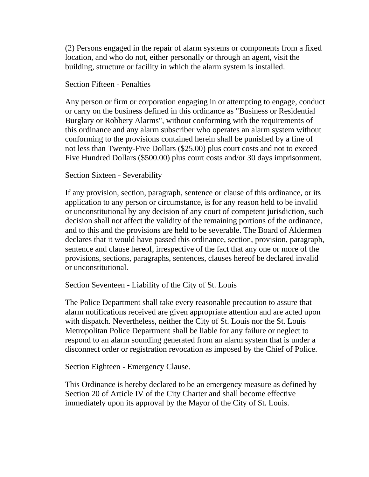(2) Persons engaged in the repair of alarm systems or components from a fixed location, and who do not, either personally or through an agent, visit the building, structure or facility in which the alarm system is installed.

#### Section Fifteen - Penalties

Any person or firm or corporation engaging in or attempting to engage, conduct or carry on the business defined in this ordinance as "Business or Residential Burglary or Robbery Alarms", without conforming with the requirements of this ordinance and any alarm subscriber who operates an alarm system without conforming to the provisions contained herein shall be punished by a fine of not less than Twenty-Five Dollars (\$25.00) plus court costs and not to exceed Five Hundred Dollars (\$500.00) plus court costs and/or 30 days imprisonment.

#### Section Sixteen - Severability

If any provision, section, paragraph, sentence or clause of this ordinance, or its application to any person or circumstance, is for any reason held to be invalid or unconstitutional by any decision of any court of competent jurisdiction, such decision shall not affect the validity of the remaining portions of the ordinance, and to this and the provisions are held to be severable. The Board of Aldermen declares that it would have passed this ordinance, section, provision, paragraph, sentence and clause hereof, irrespective of the fact that any one or more of the provisions, sections, paragraphs, sentences, clauses hereof be declared invalid or unconstitutional.

Section Seventeen - Liability of the City of St. Louis

The Police Department shall take every reasonable precaution to assure that alarm notifications received are given appropriate attention and are acted upon with dispatch. Nevertheless, neither the City of St. Louis nor the St. Louis Metropolitan Police Department shall be liable for any failure or neglect to respond to an alarm sounding generated from an alarm system that is under a disconnect order or registration revocation as imposed by the Chief of Police.

Section Eighteen - Emergency Clause.

This Ordinance is hereby declared to be an emergency measure as defined by Section 20 of Article IV of the City Charter and shall become effective immediately upon its approval by the Mayor of the City of St. Louis.